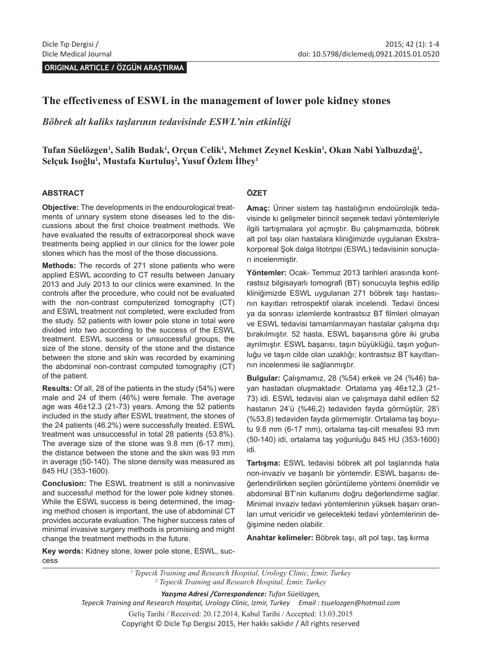**ORIGINAL ARTICLE / ÖZGÜN ARAŞTIRMA** 

## **The effectiveness of ESWL in the management of lower pole kidney stones**

*Böbrek alt kaliks taşlarının tedavisinde ESWL'nin etkinliği*

# **Tufan Süelözgen1 , Salih Budak<sup>1</sup> , Orçun Celik<sup>1</sup> , Mehmet Zeynel Keskin<sup>1</sup> , Okan Nabi Yalbuzdağ<sup>1</sup> , Selçuk Isoğlu<sup>1</sup> , Mustafa Kurtuluş<sup>2</sup> , Yusuf Özlem İlbey1**

### **ABSTRACT**

**Objective:** The developments in the endourological treatments of urinary system stone diseases led to the discussions about the first choice treatment methods. We have evaluated the results of extracorporeal shock wave treatments being applied in our clinics for the lower pole stones which has the most of the those discussions.

**Methods:** The records of 271 stone patients who were applied ESWL according to CT results between January 2013 and July 2013 to our clinics were examined. In the controls after the procedure, who could not be evaluated with the non-contrast computerized tomography (CT) and ESWL treatment not completed, were excluded from the study. 52 patients with lower pole stone in total were divided into two according to the success of the ESWL treatment. ESWL success or unsuccessful groups, the size of the stone, density of the stone and the distance between the stone and skin was recorded by examining the abdominal non-contrast computed tomography (CT) of the patient.

**Results:** Of all, 28 of the patients in the study (54%) were male and 24 of them (46%) were female. The average age was 46±12.3 (21-73) years. Among the 52 patients included in the study after ESWL treatment, the stones of the 24 patients (46.2%) were successfully treated. ESWL treatment was unsuccessful in total 28 patients (53.8%). The average size of the stone was 9.8 mm (6-17 mm), the distance between the stone and the skin was 93 mm in average (50-140). The stone density was measured as 845 HU (353-1600).

**Conclusion:** The ESWL treatment is still a noninvasive and successful method for the lower pole kidney stones. While the ESWL success is being determined, the imaging method chosen is important, the use of abdominal CT provides accurate evaluation. The higher success rates of minimal invasive surgery methods is promising and might change the treatment methods in the future.

#### **ÖZET**

**Amaç:** Üriner sistem taş hastalığının endoürolojik tedavisinde ki gelişmeler birincil seçenek tedavi yöntemleriyle ilgili tartışmalara yol açmıştır. Bu çalışmamızda, böbrek alt pol taşı olan hastalara kliniğimizde uygulanan Ekstrakorporeal Şok dalga litotripsi (ESWL) tedavisinin sonuçları incelenmiştir.

**Yöntemler:** Ocak- Temmuz 2013 tarihleri arasında kontrastsız bilgisayarlı tomografi (BT) sonucuyla teşhis edilip kliniğimizde ESWL uygulanan 271 böbrek taşı hastasının kayıtları retrospektif olarak incelendi. Tedavi öncesi ya da sonrası izlemlerde kontrastsız BT filmleri olmayan ve ESWL tedavisi tamamlanmayan hastalar çalışma dışı bırakılmıştır. 52 hasta, ESWL başarısına göre iki gruba ayrılmıştır. ESWL başarısı, taşın büyüklüğü, taşın yoğunluğu ve taşın cilde olan uzaklığı; kontrastsız BT kayıtlarının incelenmesi ile sağlanmıştır.

**Bulgular:** Çalışmamız, 28 (%54) erkek ve 24 (%46) bayan hastadan oluşmaktadır. Ortalama yaş 46±12,3 (21- 73) idi. ESWL tedavisi alan ve çalışmaya dahil edilen 52 hastanın 24'ü (%46,2) tedaviden fayda görmüştür, 28'i (%53,8) tedaviden fayda görmemiştir. Ortalama taş boyutu 9.8 mm (6-17 mm), ortalama taş-cilt mesafesi 93 mm (50-140) idi, ortalama taş yoğunluğu 845 HU (353-1600) idi.

**Tartışma:** ESWL tedavisi böbrek alt pol taşlarında hala non-invaziv ve başarılı bir yöntemdir. ESWL başarısı değerlendirilirken seçilen görüntüleme yöntemi önemlidir ve abdominal BT'nin kullanımı doğru değerlendirme sağlar. Minimal invaziv tedavi yöntemlerinin yüksek başarı oranları umut vericidir ve gelecekteki tedavi yöntemlerinin değişimine neden olabilir.

**Anahtar kelimeler:** Böbrek taşı, alt pol taşı, taş kırma

**Key words:** Kidney stone, lower pole stone, ESWL, success

> *1 Tepecik Training and Research Hospital, Urology Clinic, İzmir, Turkey 2 Tepecik Training and Research Hospital, İzmir, Turkey*

> > *Yazışma Adresi /Correspondence: Tufan Süelözgen,*

*Tepecik Training and Research Hospital, Urology Clinic, Izmir, Turkey Email : tsuelozgen@hotmail.com* Geliş Tarihi / Received: 20.12.2014, Kabul Tarihi / Accepted: 13.03.2015 Copyright © Dicle Tıp Dergisi 2015, Her hakkı saklıdır / All rights reserved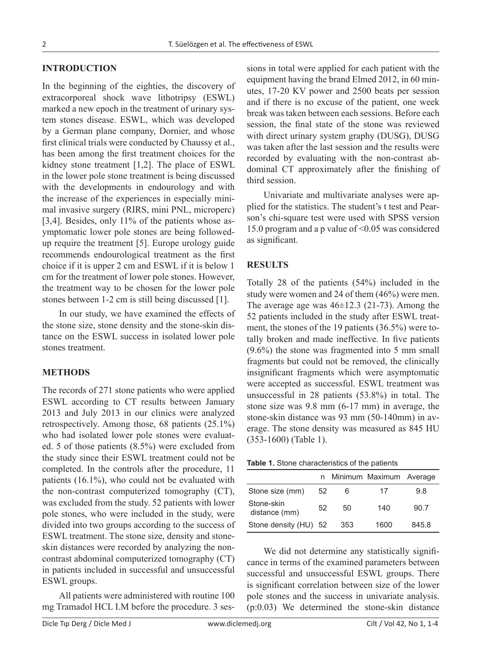## **INTRODUCTION**

In the beginning of the eighties, the discovery of extracorporeal shock wave lithotripsy (ESWL) marked a new epoch in the treatment of urinary system stones disease. ESWL, which was developed by a German plane company, Dornier, and whose first clinical trials were conducted by Chaussy et al., has been among the first treatment choices for the kidney stone treatment [1,2]. The place of ESWL in the lower pole stone treatment is being discussed with the developments in endourology and with the increase of the experiences in especially minimal invasive surgery (RIRS, mini PNL, microperc) [3,4]. Besides, only 11% of the patients whose asymptomatic lower pole stones are being followedup require the treatment [5]. Europe urology guide recommends endourological treatment as the first choice if it is upper 2 cm and ESWL if it is below 1 cm for the treatment of lower pole stones. However, the treatment way to be chosen for the lower pole stones between 1-2 cm is still being discussed [1].

In our study, we have examined the effects of the stone size, stone density and the stone-skin distance on the ESWL success in isolated lower pole stones treatment.

### **METHODS**

The records of 271 stone patients who were applied ESWL according to CT results between January 2013 and July 2013 in our clinics were analyzed retrospectively. Among those, 68 patients (25.1%) who had isolated lower pole stones were evaluated. 5 of those patients (8.5%) were excluded from the study since their ESWL treatment could not be completed. In the controls after the procedure, 11 patients (16.1%), who could not be evaluated with the non-contrast computerized tomography (CT), was excluded from the study. 52 patients with lower pole stones, who were included in the study, were divided into two groups according to the success of ESWL treatment. The stone size, density and stoneskin distances were recorded by analyzing the noncontrast abdominal computerized tomography (CT) in patients included in successful and unsuccessful ESWL groups.

All patients were administered with routine 100 mg Tramadol HCL I.M before the procedure. 3 sesrecorded by evaluating with the non-contrast abdominal CT approximately after the finishing of third session. Univariate and multivariate analyses were applied for the statistics. The student's t test and Pearson's chi-square test were used with SPSS version 15.0 program and a p value of <0.05 was considered as significant. **RESULTS**

sions in total were applied for each patient with the equipment having the brand Elmed 2012, in 60 minutes, 17-20 KV power and 2500 beats per session and if there is no excuse of the patient, one week break was taken between each sessions. Before each session, the final state of the stone was reviewed with direct urinary system graphy (DUSG), DUSG was taken after the last session and the results were

Totally 28 of the patients (54%) included in the study were women and 24 of them (46%) were men. The average age was  $46\pm 12.3$  (21-73). Among the 52 patients included in the study after ESWL treatment, the stones of the 19 patients (36.5%) were totally broken and made ineffective. In five patients (9.6%) the stone was fragmented into 5 mm small fragments but could not be removed, the clinically insignificant fragments which were asymptomatic were accepted as successful. ESWL treatment was unsuccessful in 28 patients (53.8%) in total. The stone size was 9.8 mm (6-17 mm) in average, the stone-skin distance was 93 mm (50-140mm) in average. The stone density was measured as 845 HU (353-1600) (Table 1).

|  |  | <b>Table 1.</b> Stone characteristics of the patients |  |  |  |
|--|--|-------------------------------------------------------|--|--|--|
|--|--|-------------------------------------------------------|--|--|--|

|                             |    |     | n Minimum Maximum Average |       |
|-----------------------------|----|-----|---------------------------|-------|
| Stone size (mm)             | 52 | 6   | 17                        | 9.8   |
| Stone-skin<br>distance (mm) | 52 | 50  | 140                       | 90.7  |
| Stone density (HU) 52       |    | 353 | 1600                      | 845.8 |

We did not determine any statistically significance in terms of the examined parameters between successful and unsuccessful ESWL groups. There is significant correlation between size of the lower pole stones and the success in univariate analysis. (p:0.03) We determined the stone-skin distance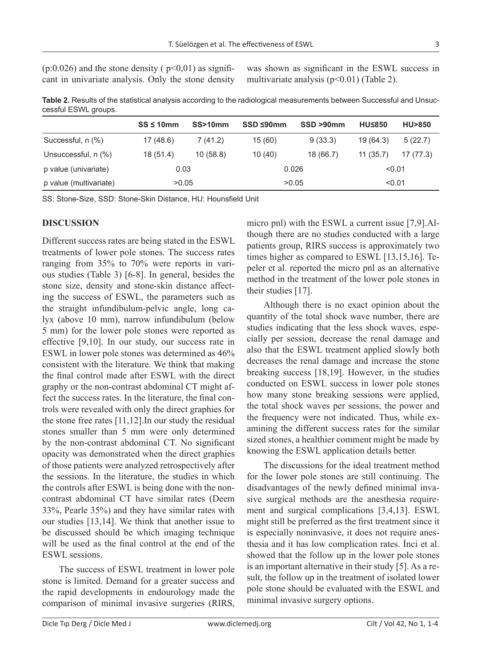$(p:0.026)$  and the stone density ( $p<0.01$ ) as significant in univariate analysis. Only the stone density was shown as significant in the ESWL success in multivariate analysis  $(p<0.01)$  (Table 2).

**Table 2.** Results of the statistical analysis according to the radiological measurements between Successful and Unsuccessful ESWL groups.

|                        | $SS \leq 10$ mm | SS>10mm  | SSD ≤90mm | SSD >90mm | <b>HU≤850</b> | <b>HU&gt;850</b> |
|------------------------|-----------------|----------|-----------|-----------|---------------|------------------|
| Successful, n (%)      | 17(48.6)        | 7(41.2)  | 15(60)    | 9(33.3)   | 19 (64.3)     | 5(22.7)          |
| Unsuccessful, n (%)    | 18(51.4)        | 10(58.8) | 10(40)    | 18 (66.7) | 11(35.7)      | 17 (77.3)        |
| p value (univariate)   | 0.03            |          | 0.026     |           | < 0.01        |                  |
| p value (multivariate) | >0.05           |          | >0.05     |           | < 0.01        |                  |

SS: Stone-Size, SSD: Stone-Skin Distance, HU: Hounsfield Unit

## **DISCUSSION**

Different success rates are being stated in the ESWL treatments of lower pole stones. The success rates ranging from 35% to 70% were reports in various studies (Table 3) [6-8]. In general, besides the stone size, density and stone-skin distance affecting the success of ESWL, the parameters such as the straight infundibulum-pelvic angle, long calyx (above 10 mm), narrow infundibulum (below 5 mm) for the lower pole stones were reported as effective [9,10]. In our study, our success rate in ESWL in lower pole stones was determined as 46% consistent with the literature. We think that making the final control made after ESWL with the direct graphy or the non-contrast abdominal CT might affect the success rates. In the literature, the final controls were revealed with only the direct graphies for the stone free rates [11,12].In our study the residual stones smaller than 5 mm were only determined by the non-contrast abdominal CT. No significant opacity was demonstrated when the direct graphies of those patients were analyzed retrospectively after the sessions. In the literature, the studies in which the controls after ESWL is being done with the noncontrast abdominal CT have similar rates (Deem 33%, Pearle 35%) and they have similar rates with our studies [13,14]. We think that another issue to be discussed should be which imaging technique will be used as the final control at the end of the ESWL sessions.

The success of ESWL treatment in lower pole stone is limited. Demand for a greater success and the rapid developments in endourology made the comparison of minimal invasive surgeries (RIRS,

micro pnl) with the ESWL a current issue [7,9].Although there are no studies conducted with a large patients group, RIRS success is approximately two times higher as compared to ESWL [13,15,16]. Tepeler et al. reported the micro pnl as an alternative method in the treatment of the lower pole stones in their studies [17].

Although there is no exact opinion about the quantity of the total shock wave number, there are studies indicating that the less shock waves, especially per session, decrease the renal damage and also that the ESWL treatment applied slowly both decreases the renal damage and increase the stone breaking success [18,19]. However, in the studies conducted on ESWL success in lower pole stones how many stone breaking sessions were applied, the total shock waves per sessions, the power and the frequency were not indicated. Thus, while examining the different success rates for the similar sized stones, a healthier comment might be made by knowing the ESWL application details better.

The discussions for the ideal treatment method for the lower pole stones are still continuing. The disadvantages of the newly defined minimal invasive surgical methods are the anesthesia requirement and surgical complications [3,4,13]. ESWL might still be preferred as the first treatment since it is especially noninvasive, it does not require anesthesia and it has low complication rates. İnci et al. showed that the follow up in the lower pole stones is an important alternative in their study [5]. As a result, the follow up in the treatment of isolated lower pole stone should be evaluated with the ESWL and minimal invasive surgery options.